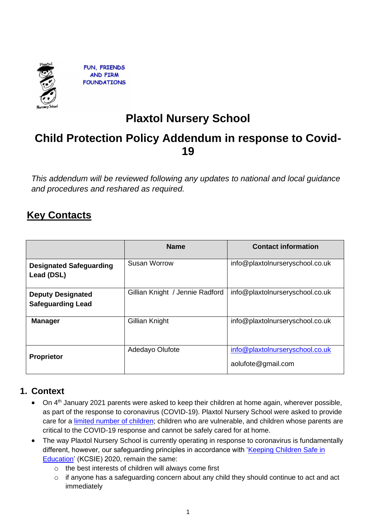

**FUN. FRIENDS AND FIRM FOUNDATIONS** 

# **Plaxtol Nursery School**

# **Child Protection Policy Addendum in response to Covid-19**

*This addendum will be reviewed following any updates to national and local guidance and procedures and reshared as required.* 

# **Key Contacts**

|                                                      | <b>Name</b>                     | <b>Contact information</b>                            |
|------------------------------------------------------|---------------------------------|-------------------------------------------------------|
| <b>Designated Safeguarding</b><br>Lead (DSL)         | Susan Worrow                    | info@plaxtolnurseryschool.co.uk                       |
| <b>Deputy Designated</b><br><b>Safeguarding Lead</b> | Gillian Knight / Jennie Radford | info@plaxtolnurseryschool.co.uk                       |
| <b>Manager</b>                                       | Gillian Knight                  | info@plaxtolnurseryschool.co.uk                       |
| <b>Proprietor</b>                                    | Adedayo Olufote                 | info@plaxtolnurseryschool.co.uk<br>aolufote@gmail.com |

### **1. Context**

- On 4th January 2021 parents were asked to keep their children at home again, wherever possible, as part of the response to coronavirus (COVID-19). Plaxtol Nursery School were asked to provide care for a [limited number of children;](https://www.gov.uk/government/publications/coronavirus-covid-19-maintaining-educational-provision/guidance-for-schools-colleges-and-local-authorities-on-maintaining-educational-provision) children who are vulnerable, and children whose parents are critical to the COVID-19 response and cannot be safely cared for at home.
- The way Plaxtol Nursery School is currently operating in response to coronavirus is fundamentally different, however, our safeguarding principles in accordance with 'Keeping Children Safe in [Education'](https://www.gov.uk/government/publications/keeping-children-safe-in-education--2) (KCSIE) 2020, remain the same:
	- o the best interests of children will always come first
	- o if anyone has a safeguarding concern about any child they should continue to act and act immediately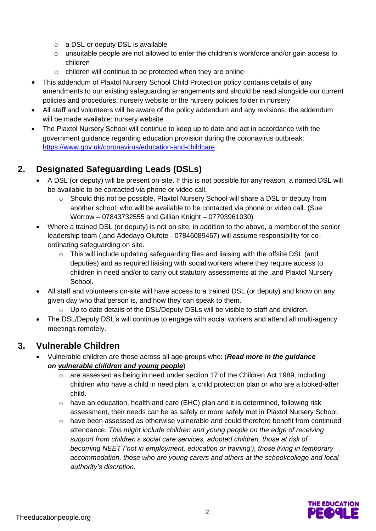- o a DSL or deputy DSL is available
- $\circ$  unsuitable people are not allowed to enter the children's workforce and/or gain access to children
- o children will continue to be protected when they are online
- This addendum of Plaxtol Nursery School Child Protection policy contains details of any amendments to our existing safeguarding arrangements and should be read alongside our current policies and procedures: nursery website or the nursery policies folder in nursery
- All staff and volunteers will be aware of the policy addendum and any revisions; the addendum will be made available: nursery website.
- The Plaxtol Nursery School will continue to keep up to date and act in accordance with the government guidance regarding education provision during the coronavirus outbreak: <https://www.gov.uk/coronavirus/education-and-childcare>

# **2. Designated Safeguarding Leads (DSLs)**

- A DSL (or deputy) will be present on-site. If this is not possible for any reason, a named DSL will be available to be contacted via phone or video call.
	- o Should this not be possible, Plaxtol Nursery School will share a DSL or deputy from another school, who will be available to be contacted via phone or video call. (Sue Worrow – 07843732555 and Gillian Knight – 07793961030)
- Where a trained DSL (or deputy) is not on site, in addition to the above, a member of the senior leadership team (,and Adedayo Olufote - 07846089467) will assume responsibility for coordinating safeguarding on site.
	- $\circ$  This will include updating safeguarding files and liaising with the offsite DSL (and deputies) and as required liaising with social workers where they require access to children in need and/or to carry out statutory assessments at the ,and Plaxtol Nursery School.
- All staff and volunteers on-site will have access to a trained DSL (or deputy) and know on any given day who that person is, and how they can speak to them.
	- $\circ$  Up to date details of the DSL/Deputy DSLs will be visible to staff and children.
- The DSL/Deputy DSL's will continue to engage with social workers and attend all multi-agency meetings remotely.

## **3. Vulnerable Children**

- Vulnerable children are those across all age groups who: (*Read more in the guidance on [vulnerable children and young people](https://www.gov.uk/government/publications/coronavirus-covid-19-guidance-on-vulnerable-children-and-young-people)*)
	- o are assessed as being in need under section 17 of the Children Act 1989, including children who have a child in need plan, a child protection plan or who are a looked-after child.
	- o have an education, health and care (EHC) plan and it is determined, following risk assessment, their needs can be as safely or more safely met in Plaxtol Nursery School.
	- $\circ$  have been assessed as otherwise vulnerable and could therefore benefit from continued attendance. *This might include children and young people on the edge of receiving support from children's social care services, adopted children, those at risk of becoming NEET ('not in employment, education or training'), those living in temporary accommodation, those who are young carers and others at the school/college and local authority's discretion.*

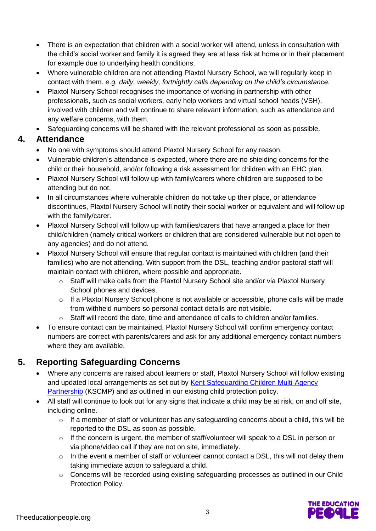- There is an expectation that children with a social worker will attend, unless in consultation with the child's social worker and family it is agreed they are at less risk at home or in their placement for example due to underlying health conditions.
- Where vulnerable children are not attending Plaxtol Nursery School, we will regularly keep in contact with them. *e.g. daily, weekly, fortnightly calls depending on the child's circumstance.*
- Plaxtol Nursery School recognises the importance of working in partnership with other professionals, such as social workers, early help workers and virtual school heads (VSH), involved with children and will continue to share relevant information, such as attendance and any welfare concerns, with them.
- Safeguarding concerns will be shared with the relevant professional as soon as possible.

### **4. Attendance**

- No one with symptoms should attend Plaxtol Nursery School for any reason.
- Vulnerable children's attendance is expected, where there are no shielding concerns for the child or their household, and/or following a risk assessment for children with an EHC plan.
- Plaxtol Nursery School will follow up with family/carers where children are supposed to be attending but do not.
- In all circumstances where vulnerable children do not take up their place, or attendance discontinues, Plaxtol Nursery School will notify their social worker or equivalent and will follow up with the family/carer.
- Plaxtol Nursery School will follow up with families/carers that have arranged a place for their child/children (namely critical workers or children that are considered vulnerable but not open to any agencies) and do not attend.
- Plaxtol Nursery School will ensure that regular contact is maintained with children (and their families) who are not attending. With support from the DSL, teaching and/or pastoral staff will maintain contact with children, where possible and appropriate.
	- $\circ$  Staff will make calls from the Plaxtol Nursery School site and/or via Plaxtol Nursery School phones and devices.
	- $\circ$  If a Plaxtol Nursery School phone is not available or accessible, phone calls will be made from withheld numbers so personal contact details are not visible.
	- $\circ$  Staff will record the date, time and attendance of calls to children and/or families.
- To ensure contact can be maintained, Plaxtol Nursery School will confirm emergency contact numbers are correct with parents/carers and ask for any additional emergency contact numbers where they are available.

# **5. Reporting Safeguarding Concerns**

- Where any concerns are raised about learners or staff, Plaxtol Nursery School will follow existing and updated local arrangements as set out by [Kent Safeguarding Children Multi-Agency](https://www.kscmp.org.uk/)  [Partnership](https://www.kscmp.org.uk/) (KSCMP) and as outlined in our existing child protection policy.
- All staff will continue to look out for any signs that indicate a child may be at risk, on and off site, including online.
	- o If a member of staff or volunteer has any safeguarding concerns about a child, this will be reported to the DSL as soon as possible.
	- o If the concern is urgent, the member of staff/volunteer will speak to a DSL in person or via phone/video call if they are not on site, immediately.
	- $\circ$  In the event a member of staff or volunteer cannot contact a DSL, this will not delay them taking immediate action to safeguard a child.
	- o Concerns will be recorded using existing safeguarding processes as outlined in our Child Protection Policy.

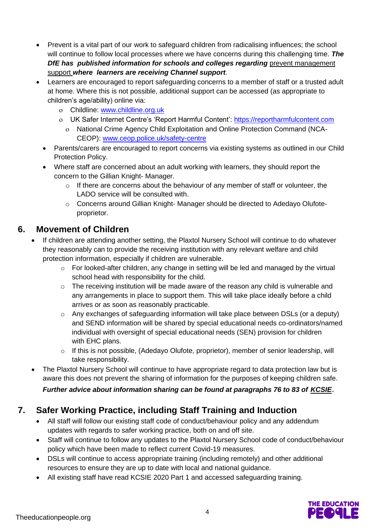- Prevent is a vital part of our work to safeguard children from radicalising influences; the school will continue to follow local processes where we have concerns during this challenging time. *The DfE has published information for schools and colleges regarding* **prevent management** [support](https://educateagainsthate.com/blog/posts/school-closures-ongoing-prevent-management-support/) *where learners are receiving Channel support.*
- Learners are encouraged to report safeguarding concerns to a member of staff or a trusted adult at home. Where this is not possible, additional support can be accessed (as appropriate to children's age/ability) online via:
	- Childline: [www.childline.org.uk](http://www.childline.org.uk/)
	- o UK Safer Internet Centre's 'Report Harmful Content': [https://reportharmfulcontent.com](https://reportharmfulcontent.com/)
		- National Crime Agency Child Exploitation and Online Protection Command (NCA-CEOP): [www.ceop.police.uk/safety-centre](https://www.ceop.police.uk/safety-centre/)
	- Parents/carers are encouraged to report concerns via existing systems as outlined in our Child Protection Policy.
	- Where staff are concerned about an adult working with learners, they should report the concern to the Gillian Knight- Manager.
		- $\circ$  If there are concerns about the behaviour of any member of staff or volunteer, the LADO service will be consulted with.
		- o Concerns around Gillian Knight- Manager should be directed to Adedayo Olufoteproprietor.

## **6. Movement of Children**

- If children are attending another setting, the Plaxtol Nursery School will continue to do whatever they reasonably can to provide the receiving institution with any relevant welfare and child protection information, especially if children are vulnerable.
	- $\circ$  For looked-after children, any change in setting will be led and managed by the virtual school head with responsibility for the child.
	- o The receiving institution will be made aware of the reason any child is vulnerable and any arrangements in place to support them. This will take place ideally before a child arrives or as soon as reasonably practicable.
	- o Any exchanges of safeguarding information will take place between DSLs (or a deputy) and SEND information will be shared by special educational needs co-ordinators/named individual with oversight of special educational needs (SEN) provision for children with EHC plans.
	- o If this is not possible, (Adedayo Olufote, proprietor), member of senior leadership, will take responsibility.
- The Plaxtol Nursery School will continue to have appropriate regard to data protection law but is aware this does not prevent the sharing of information for the purposes of keeping children safe.

### *Further advice about information sharing can be found at paragraphs 76 to 83 of [KCSIE](https://www.gov.uk/government/publications/keeping-children-safe-in-education--2)*.

# **7. Safer Working Practice, including Staff Training and Induction**

- All staff will follow our existing staff code of conduct/behaviour policy and any addendum updates with regards to safer working practice, both on and off site.
- Staff will continue to follow any updates to the Plaxtol Nursery School code of conduct/behaviour policy which have been made to reflect current Covid-19 measures.
- DSLs will continue to access appropriate training (including remotely) and other additional resources to ensure they are up to date with local and national guidance.
- All existing staff have read KCSIE 2020 Part 1 and accessed safeguarding training.

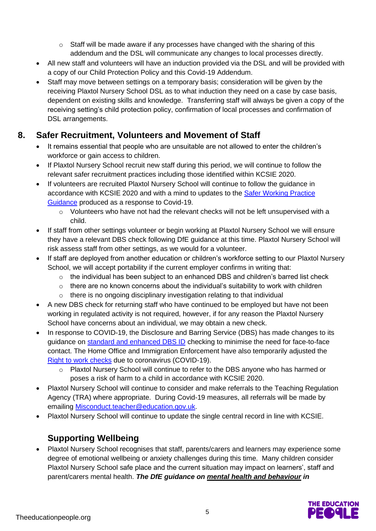- o Staff will be made aware if any processes have changed with the sharing of this addendum and the DSL will communicate any changes to local processes directly.
- All new staff and volunteers will have an induction provided via the DSL and will be provided with a copy of our Child Protection Policy and this Covid-19 Addendum.
- Staff may move between settings on a temporary basis; consideration will be given by the receiving Plaxtol Nursery School DSL as to what induction they need on a case by case basis, dependent on existing skills and knowledge. Transferring staff will always be given a copy of the receiving setting's child protection policy, confirmation of local processes and confirmation of DSL arrangements.

## **8. Safer Recruitment, Volunteers and Movement of Staff**

- It remains essential that people who are unsuitable are not allowed to enter the children's workforce or gain access to children.
- If Plaxtol Nursery School recruit new staff during this period, we will continue to follow the relevant safer recruitment practices including those identified within KCSIE 2020.
- If volunteers are recruited Plaxtol Nursery School will continue to follow the guidance in accordance with KCSIE 2020 and with a mind to updates to the [Safer Working Practice](https://www.saferrecruitmentconsortium.org/GSWP%20COVID%20addendum%20April%202020%20final.pdf)  [Guidance](https://www.saferrecruitmentconsortium.org/GSWP%20COVID%20addendum%20April%202020%20final.pdf) produced as a response to Covid-19.
	- o Volunteers who have not had the relevant checks will not be left unsupervised with a child.
- If staff from other settings volunteer or begin working at Plaxtol Nursery School we will ensure they have a relevant DBS check following DfE guidance at this time. Plaxtol Nursery School will risk assess staff from other settings, as we would for a volunteer.
- If staff are deployed from another education or children's workforce setting to our Plaxtol Nursery School, we will accept portability if the current employer confirms in writing that:
	- $\circ$  the individual has been subject to an enhanced DBS and children's barred list check
	- $\circ$  there are no known concerns about the individual's suitability to work with children
	- o there is no ongoing disciplinary investigation relating to that individual
- A new DBS check for returning staff who have continued to be employed but have not been working in regulated activity is not required, however, if for any reason the Plaxtol Nursery School have concerns about an individual, we may obtain a new check.
- In response to COVID-19, the Disclosure and Barring Service (DBS) has made changes to its guidance on [standard and enhanced DBS ID](https://www.gov.uk/government/news/covid-19-changes-to-dbs-id-checking-guidelines) checking to minimise the need for face-to-face contact. The Home Office and Immigration Enforcement have also temporarily adjusted the [Right to work checks](https://www.gov.uk/guidance/coronavirus-covid-19-right-to-work-checks) due to coronavirus (COVID-19).
	- o Plaxtol Nursery School will continue to refer to the DBS anyone who has harmed or poses a risk of harm to a child in accordance with KCSIE 2020.
- Plaxtol Nursery School will continue to consider and make referrals to the Teaching Regulation Agency (TRA) where appropriate. During Covid-19 measures, all referrals will be made by emailing [Misconduct.teacher@education.gov.uk.](mailto:Misconduct.teacher@education.gov.uk)
- Plaxtol Nursery School will continue to update the single central record in line with KCSIE.

# **Supporting Wellbeing**

• Plaxtol Nursery School recognises that staff, parents/carers and learners may experience some degree of emotional wellbeing or anxiety challenges during this time. Many children consider Plaxtol Nursery School safe place and the current situation may impact on learners', staff and parent/carers mental health. *The DfE guidance on [mental health and behaviour](https://www.gov.uk/government/publications/mental-health-and-behaviour-in-schools--2) in* 

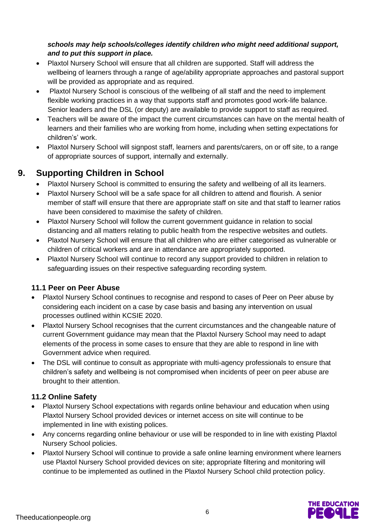#### *schools may help schools/colleges identify children who might need additional support, and to put this support in place.*

- Plaxtol Nursery School will ensure that all children are supported. Staff will address the wellbeing of learners through a range of age/ability appropriate approaches and pastoral support will be provided as appropriate and as required.
- Plaxtol Nursery School is conscious of the wellbeing of all staff and the need to implement flexible working practices in a way that supports staff and promotes good work-life balance. Senior leaders and the DSL (or deputy) are available to provide support to staff as required.
- Teachers will be aware of the impact the current circumstances can have on the mental health of learners and their families who are working from home, including when setting expectations for children's' work.
- Plaxtol Nursery School will signpost staff, learners and parents/carers, on or off site, to a range of appropriate sources of support, internally and externally.

## **9. Supporting Children in School**

- Plaxtol Nursery School is committed to ensuring the safety and wellbeing of all its learners.
- Plaxtol Nursery School will be a safe space for all children to attend and flourish. A senior member of staff will ensure that there are appropriate staff on site and that staff to learner ratios have been considered to maximise the safety of children.
- Plaxtol Nursery School will follow the current government guidance in relation to social distancing and all matters relating to public health from the respective websites and outlets.
- Plaxtol Nursery School will ensure that all children who are either categorised as vulnerable or children of critical workers and are in attendance are appropriately supported.
- Plaxtol Nursery School will continue to record any support provided to children in relation to safeguarding issues on their respective safeguarding recording system.

### **11.1 Peer on Peer Abuse**

- Plaxtol Nursery School continues to recognise and respond to cases of Peer on Peer abuse by considering each incident on a case by case basis and basing any intervention on usual processes outlined within KCSIE 2020.
- Plaxtol Nursery School recognises that the current circumstances and the changeable nature of current Government guidance may mean that the Plaxtol Nursery School may need to adapt elements of the process in some cases to ensure that they are able to respond in line with Government advice when required.
- The DSL will continue to consult as appropriate with multi-agency professionals to ensure that children's safety and wellbeing is not compromised when incidents of peer on peer abuse are brought to their attention.

### **11.2 Online Safety**

- Plaxtol Nursery School expectations with regards online behaviour and education when using Plaxtol Nursery School provided devices or internet access on site will continue to be implemented in line with existing polices.
- Any concerns regarding online behaviour or use will be responded to in line with existing Plaxtol Nursery School policies.
- Plaxtol Nursery School will continue to provide a safe online learning environment where learners use Plaxtol Nursery School provided devices on site; appropriate filtering and monitoring will continue to be implemented as outlined in the Plaxtol Nursery School child protection policy.

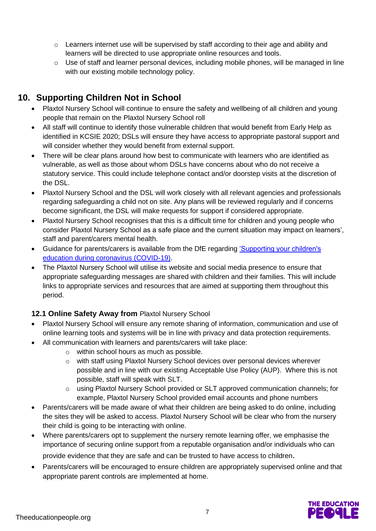- $\circ$  Learners internet use will be supervised by staff according to their age and ability and learners will be directed to use appropriate online resources and tools.
- $\circ$  Use of staff and learner personal devices, including mobile phones, will be managed in line with our existing mobile technology policy.

# **10. Supporting Children Not in School**

- Plaxtol Nursery School will continue to ensure the safety and wellbeing of all children and young people that remain on the Plaxtol Nursery School roll
- All staff will continue to identify those vulnerable children that would benefit from Early Help as identified in KCSIE 2020; DSLs will ensure they have access to appropriate pastoral support and will consider whether they would benefit from external support.
- There will be clear plans around how best to communicate with learners who are identified as vulnerable, as well as those about whom DSLs have concerns about who do not receive a statutory service. This could include telephone contact and/or doorstep visits at the discretion of the DSL.
- Plaxtol Nursery School and the DSL will work closely with all relevant agencies and professionals regarding safeguarding a child not on site. Any plans will be reviewed regularly and if concerns become significant, the DSL will make requests for support if considered appropriate.
- Plaxtol Nursery School recognises that this is a difficult time for children and young people who consider Plaxtol Nursery School as a safe place and the current situation may impact on learners', staff and parent/carers mental health.
- Guidance for parents/carers is available from the DfE regarding ['Supporting your children's](https://www.gov.uk/guidance/supporting-your-childrens-education-during-coronavirus-covid-19)  [education during coronavirus \(COVID-19\).](https://www.gov.uk/guidance/supporting-your-childrens-education-during-coronavirus-covid-19)
- The Plaxtol Nursery School will utilise its website and social media presence to ensure that appropriate safeguarding messages are shared with children and their families. This will include links to appropriate services and resources that are aimed at supporting them throughout this period.

### **12.1 Online Safety Away from** Plaxtol Nursery School

- Plaxtol Nursery School will ensure any remote sharing of information, communication and use of online learning tools and systems will be in line with privacy and data protection requirements.
- All communication with learners and parents/carers will take place:
	- o within school hours as much as possible.
	- o with staff using Plaxtol Nursery School devices over personal devices wherever possible and in line with our existing Acceptable Use Policy (AUP). Where this is not possible, staff will speak with SLT.
	- o using Plaxtol Nursery School provided or SLT approved communication channels; for example, Plaxtol Nursery School provided email accounts and phone numbers
- Parents/carers will be made aware of what their children are being asked to do online, including the sites they will be asked to access. Plaxtol Nursery School will be clear who from the nursery their child is going to be interacting with online.
- Where parents/carers opt to supplement the nursery remote learning offer, we emphasise the importance of securing online support from a reputable organisation and/or individuals who can provide evidence that they are safe and can be trusted to have access to children.
- Parents/carers will be encouraged to ensure children are appropriately supervised online and that appropriate parent controls are implemented at home.

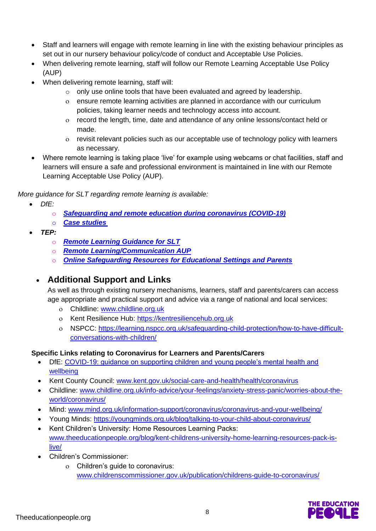- Staff and learners will engage with remote learning in line with the existing behaviour principles as set out in our nursery behaviour policy/code of conduct and Acceptable Use Policies.
- When delivering remote learning, staff will follow our Remote Learning Acceptable Use Policy (AUP)
- When delivering remote learning, staff will:
	- $\circ$  only use online tools that have been evaluated and agreed by leadership.
	- ensure remote learning activities are planned in accordance with our curriculum policies, taking learner needs and technology access into account.
	- record the length, time, date and attendance of any online lessons/contact held or made.
	- revisit relevant policies such as our acceptable use of technology policy with learners as necessary.
- Where remote learning is taking place 'live' for example using webcams or chat facilities, staff and learners will ensure a safe and professional environment is maintained in line with our Remote Learning Acceptable Use Policy (AUP).

*More guidance for SLT regarding remote learning is available:*

- *DfE:* 
	- o *[Safeguarding and remote education during coronavirus \(COVID-19\)](https://www.gov.uk/guidance/safeguarding-and-remote-education-during-coronavirus-covid-19)*
	- o *[Case studies](https://www.gov.uk/government/collections/case-studies-remote-education-practice-for-schools-during-coronavirus-covid-19)*
- *TEP:* 
	- o *[Remote Learning Guidance for SLT](https://www.theeducationpeople.org/blog/safer-remote-learning-during-covid-19-information-for-school-leaders-and-dsls/)*
	- o *[Remote Learning/Communication AUP](https://www.theeducationpeople.org/blog/covid-19-acceptable-use-policy-for-remote-learning-and-online-communication/)*
	- o *[Online Safeguarding Resources for Educational Settings and Parents](https://www.theeducationpeople.org/blog/covid-19-online-safeguarding-resources-for-educational-settings-and-parents/)*

## • **Additional Support and Links**

As well as through existing nursery mechanisms, learners, staff and parents/carers can access age appropriate and practical support and advice via a range of national and local services:

- Childline: [www.childline.org.uk](https://www.childline.org.uk/)
- Kent Resilience Hub: [https://kentresiliencehub.org.uk](https://kentresiliencehub.org.uk/)
- NSPCC: [https://learning.nspcc.org.uk/safeguarding-child-protection/how-to-have-difficult](https://learning.nspcc.org.uk/safeguarding-child-protection/how-to-have-difficult-conversations-with-children/)[conversations-with-children/](https://learning.nspcc.org.uk/safeguarding-child-protection/how-to-have-difficult-conversations-with-children/)

#### **Specific Links relating to Coronavirus for Learners and Parents/Carers**

- DfE: [COVID-19: guidance on supporting children and young people's mental health and](https://www.gov.uk/government/publications/covid-19-guidance-on-supporting-children-and-young-peoples-mental-health-and-wellbeing?)  [wellbeing](https://www.gov.uk/government/publications/covid-19-guidance-on-supporting-children-and-young-peoples-mental-health-and-wellbeing?)
- Kent County Council: [www.kent.gov.uk/social-care-and-health/health/coronavirus](http://www.kent.gov.uk/social-care-and-health/health/coronavirus)
- Childline: [www.childline.org.uk/info-advice/your-feelings/anxiety-stress-panic/worries-about-the](http://www.childline.org.uk/info-advice/your-feelings/anxiety-stress-panic/worries-about-the-world/coronavirus/)[world/coronavirus/](http://www.childline.org.uk/info-advice/your-feelings/anxiety-stress-panic/worries-about-the-world/coronavirus/)
- Mind: [www.mind.org.uk/information-support/coronavirus/coronavirus-and-your-wellbeing/](http://www.mind.org.uk/information-support/coronavirus/coronavirus-and-your-wellbeing/)
- Young Minds:<https://youngminds.org.uk/blog/talking-to-your-child-about-coronavirus/>
- Kent Children's University: Home Resources Learning Packs: [www.theeducationpeople.org/blog/kent-childrens-university-home-learning-resources-pack-is](http://www.theeducationpeople.org/blog/kent-childrens-university-home-learning-resources-pack-is-live/)[live/](http://www.theeducationpeople.org/blog/kent-childrens-university-home-learning-resources-pack-is-live/)
- Children's Commissioner:
	- Children's guide to coronavirus: [www.childrenscommissioner.gov.uk/publication/childrens-guide-to-coronavirus/](http://www.childrenscommissioner.gov.uk/publication/childrens-guide-to-coronavirus/)